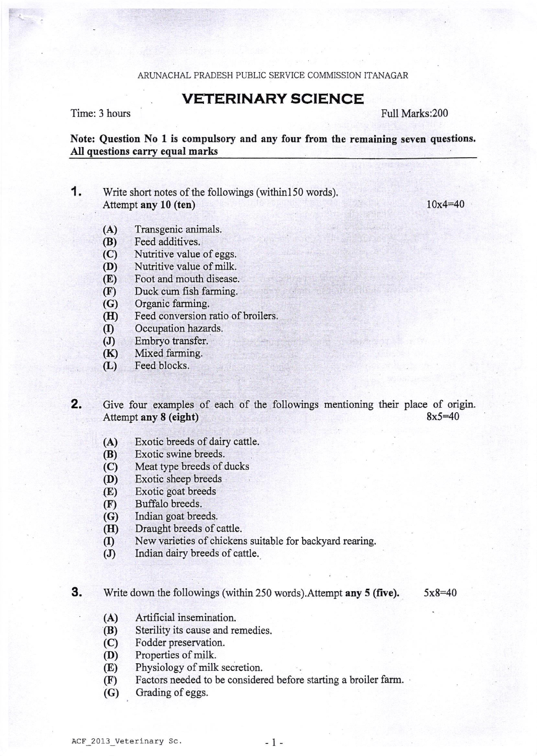## ARUNACHAL PRADESH PUBLIC SERVICE COMMISSION ITANAGAR

## VETERINARY SCIENCE

Time: 3 hous

Full Marks:200

Note: Question No 1 is compulsory and any four from the remaining seven questions, All questions carry equal marks

**1.** Write short notes of the followings (within 150 words). Attempt any l0 (ten)

10x4=40

- (A) Transgenicanimals.
- (B) Feed additives.
- (C) Nutritive value of eggs.<br>(D) Nutritive value of milk.
- 
- (E) Foot and mouth disease.<br>(F) Duck cum fish farming.
- Duck cum fish farming.
- (G) Organic farming.
- (H) Feed conversion ratio of broilers.<br>(I) Occupation hazards.
- Occupation hazards.
- (J) Embryo transfer.
- (K) Mixed farming.
- (L) Feed blocks.

Give four examples of each of the followings mentioning their place of origin. Attempt any  $8$  (eight)  $8x5=40$ 2.

- (A) Exotic breeds of dairy cattle.
- (B) Exotic swine breeds.
- (C) Meat type breeds of ducks
- (D) Exotic sheep breeds
- (E) Exotic goat breeds
- (F) Buffalo breeds,
- (G) Indian goat breeds.<br>(H) Draught breeds of c
- Draught breeds of cattle.
- (I) New varieties of chickens suitable for backyard rearing.
- (J) Indian dairy breeds of cattle.

**3.** Write down the followings (within 250 words). Attempt **any 5 (five).**  $5x8=40$ 

- 
- (A) Artificial insemination.<br>
(B) Sterility its cause and remedies.
- (C) Fodder preservation.<br>(D) Properties of milk.
- 
- (D) Properties of milk.<br>(E) Physiology of milk secretion.
- (F) Factors needed to be considered before starting a broiler farm.
- (G) Grading of eggs.